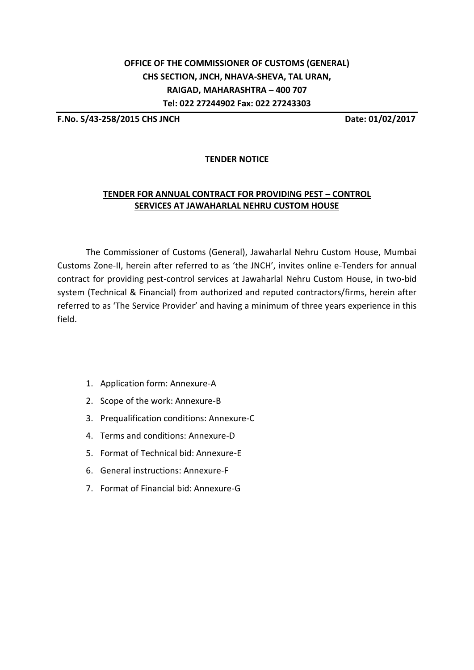## **OFFICE OF THE COMMISSIONER OF CUSTOMS (GENERAL) CHS SECTION, JNCH, NHAVA-SHEVA, TAL URAN, RAIGAD, MAHARASHTRA – 400 707 Tel: 022 27244902 Fax: 022 27243303**

**F.No. S/43-258/2015 CHS JNCH Date: 01/02/2017**

## **TENDER NOTICE**

## **TENDER FOR ANNUAL CONTRACT FOR PROVIDING PEST – CONTROL SERVICES AT JAWAHARLAL NEHRU CUSTOM HOUSE**

The Commissioner of Customs (General), Jawaharlal Nehru Custom House, Mumbai Customs Zone-II, herein after referred to as 'the JNCH', invites online e-Tenders for annual contract for providing pest-control services at Jawaharlal Nehru Custom House, in two-bid system (Technical & Financial) from authorized and reputed contractors/firms, herein after referred to as 'The Service Provider' and having a minimum of three years experience in this field.

- 1. Application form: Annexure-A
- 2. Scope of the work: Annexure-B
- 3. Prequalification conditions: Annexure-C
- 4. Terms and conditions: Annexure-D
- 5. Format of Technical bid: Annexure-E
- 6. General instructions: Annexure-F
- 7. Format of Financial bid: Annexure-G